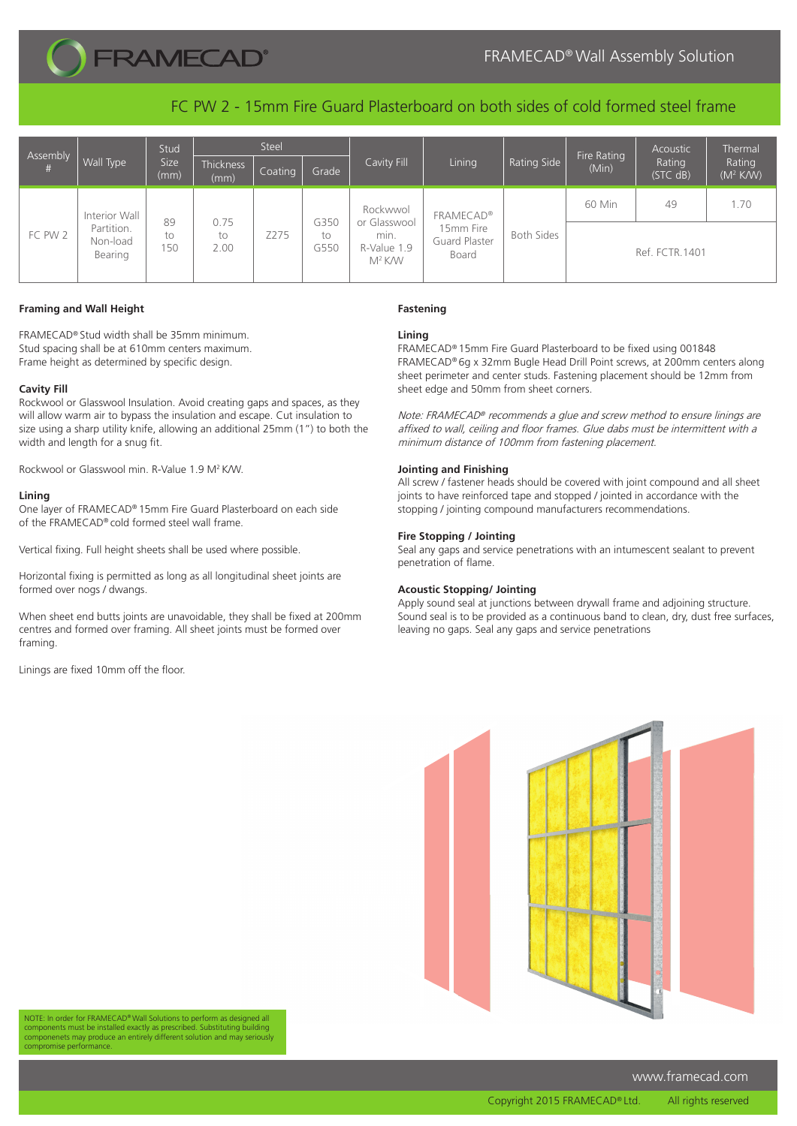

FC PW 2 - 15mm Fire Guard Plasterboard on both sides of cold formed steel frame

| Assembly<br># | Wall Type                                          | Stud<br><b>Size</b><br>(mm) | Steel              |         |                    |                                                                       |                                                         |                   | Fire Rating    | Acoustic           | Thermal                        |
|---------------|----------------------------------------------------|-----------------------------|--------------------|---------|--------------------|-----------------------------------------------------------------------|---------------------------------------------------------|-------------------|----------------|--------------------|--------------------------------|
|               |                                                    |                             | Thickness<br>(mm)  | Coating | Grade              | Cavity Fill                                                           | Lining                                                  | Rating Side       | (Min)          | Rating<br>(STC dB) | Rating<br>(M <sup>2</sup> K/W) |
| FC PW 2       | Interior Wall<br>Partition.<br>Non-load<br>Bearing | 89<br>to<br>150             |                    | Z275    | G350<br>to<br>G550 | Rockwwol<br>or Glasswool<br>min.<br>R-Value 1.9<br>M <sup>2</sup> K/W | <b>FRAMECAD®</b><br>15mm Fire<br>Guard Plaster<br>Board | <b>Both Sides</b> | 60 Min         | 49                 | 1.70                           |
|               |                                                    |                             | 0.75<br>to<br>2.00 |         |                    |                                                                       |                                                         |                   | Ref. FCTR.1401 |                    |                                |

## **Framing and Wall Height**

FRAMECAD® Stud width shall be 35mm minimum. Stud spacing shall be at 610mm centers maximum. Frame height as determined by specific design.

#### **Cavity Fill**

Rockwool or Glasswool Insulation. Avoid creating gaps and spaces, as they will allow warm air to bypass the insulation and escape. Cut insulation to size using a sharp utility knife, allowing an additional 25mm (1") to both the width and length for a snug fit.

Rockwool or Glasswool min. R-Value 1.9 M2 K/W.

#### **Lining**

One layer of FRAMECAD® 15mm Fire Guard Plasterboard on each side of the FRAMECAD® cold formed steel wall frame.

Vertical fixing. Full height sheets shall be used where possible.

Horizontal fixing is permitted as long as all longitudinal sheet joints are formed over nogs / dwangs.

When sheet end butts joints are unavoidable, they shall be fixed at 200mm centres and formed over framing. All sheet joints must be formed over framing.

Linings are fixed 10mm off the floor.

# **Fastening**

## **Lining**

FRAMECAD® 15mm Fire Guard Plasterboard to be fixed using 001848 FRAMECAD® 6g x 32mm Bugle Head Drill Point screws, at 200mm centers along sheet perimeter and center studs. Fastening placement should be 12mm from sheet edge and 50mm from sheet corners.

Note: FRAMECAD® recommends a glue and screw method to ensure linings are affixed to wall, ceiling and floor frames. Glue dabs must be intermittent with a minimum distance of 100mm from fastening placement.

## **Jointing and Finishing**

All screw / fastener heads should be covered with joint compound and all sheet joints to have reinforced tape and stopped / jointed in accordance with the stopping / jointing compound manufacturers recommendations.

## **Fire Stopping / Jointing**

Seal any gaps and service penetrations with an intumescent sealant to prevent penetration of flame.

#### **Acoustic Stopping/ Jointing**

Apply sound seal at junctions between drywall frame and adjoining structure. Sound seal is to be provided as a continuous band to clean, dry, dust free surfaces, leaving no gaps. Seal any gaps and service penetrations



NOTE: In order for FRAMECAD® Wall Solutions to perform as designed all components must be installed exactly as prescribed. Substituting building componenets may produce an entirely different solution and may seriously se performance

www.framecad.com